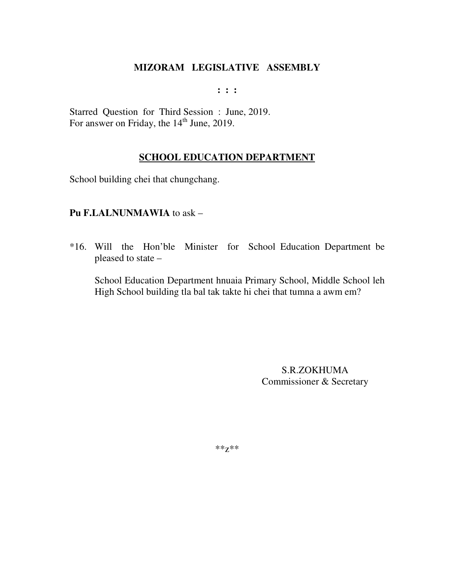$: : :$ 

Starred Question for Third Session : June, 2019. For answer on Friday, the 14<sup>th</sup> June, 2019.

# **SCHOOL EDUCATION DEPARTMENT**

School building chei that chungchang.

#### Pu F.LALNUNMAWIA to ask -

\*16. Will the Hon'ble Minister for School Education Department be pleased to state –

School Education Department hnuaia Primary School, Middle School leh High School building tla bal tak takte hi chei that tumna a awm em?

> **S.R.ZOKHUMA** Commissioner & Secretary

\*\* $Z^{**}$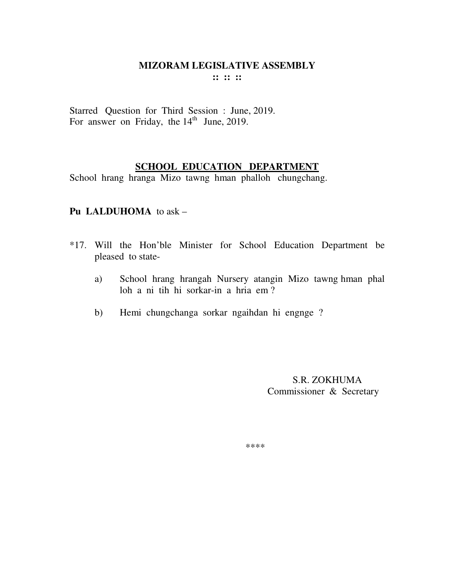#### **MIZORAM LEGISLATIVE ASSEMBLY :: :: ::**

Starred Question for Third Session : June, 2019. For answer on Friday, the  $14<sup>th</sup>$  June, 2019.

# **SCHOOL EDUCATION DEPARTMENT**

School hrang hranga Mizo tawng hman phalloh chungchang.

### **Pu LALDUHOMA** to ask –

- \*17. Will the Hon'ble Minister for School Education Department be pleased to state
	- a) School hrang hrangah Nursery atangin Mizo tawng hman phal loh a ni tih hi sorkar-in a hria em ?
	- b) Hemi chungchanga sorkar ngaihdan hi engnge ?

 S.R. ZOKHUMA Commissioner & Secretary

\*\*\*\*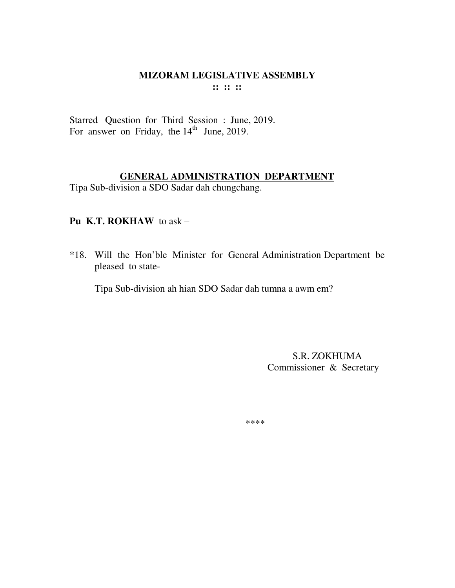#### **MIZORAM LEGISLATIVE ASSEMBLY :: :: ::**

Starred Question for Third Session : June, 2019. For answer on Friday, the  $14<sup>th</sup>$  June, 2019.

#### **GENERAL ADMINISTRATION DEPARTMENT**

Tipa Sub-division a SDO Sadar dah chungchang.

# **Pu K.T. ROKHAW** to ask –

\*18. Will the Hon'ble Minister for General Administration Department be pleased to state-

Tipa Sub-division ah hian SDO Sadar dah tumna a awm em?

 S.R. ZOKHUMA Commissioner & Secretary

\*\*\*\*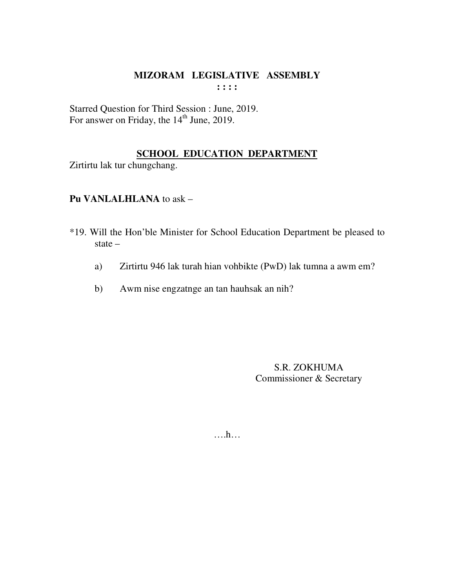#### MIZORAM LEGISLATIVE ASSEMBLY  $: : : :$

Starred Question for Third Session : June, 2019.<br>For answer on Friday, the 14<sup>th</sup> June, 2019.

# **SCHOOL EDUCATION DEPARTMENT**

Zirtirtu lak tur chungchang.

# Pu VANLALHLANA to ask -

- \*19. Will the Hon'ble Minister for School Education Department be pleased to state  $-$ 
	- Zirtirtu 946 lak turah hian vohbikte (PwD) lak tumna a awm em? a)
	- Awm nise engzatnge an tan hauhsak an nih?  $b)$

S.R. ZOKHUMA Commissioner & Secretary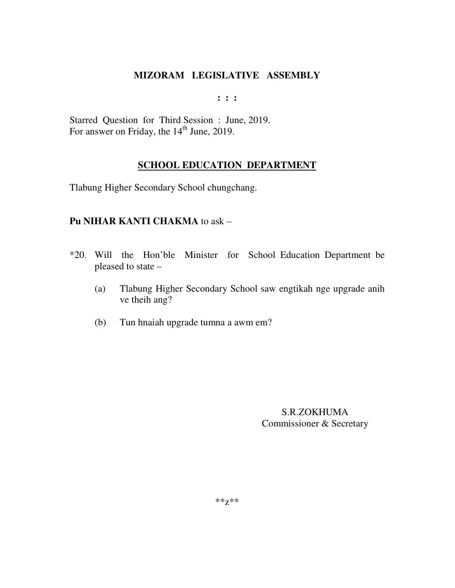**: : :** 

Starred Question for Third Session : June, 2019. For answer on Friday, the 14<sup>th</sup> June, 2019.

#### **SCHOOL EDUCATION DEPARTMENT**

Tlabung Higher Secondary School chungchang.

# **Pu NIHAR KANTI CHAKMA** to ask –

- \*20. Will the Hon'ble Minister for School Education Department be pleased to state –
	- (a) Tlabung Higher Secondary School saw engtikah nge upgrade anih ve theih ang?
	- (b) Tun hnaiah upgrade tumna a awm em?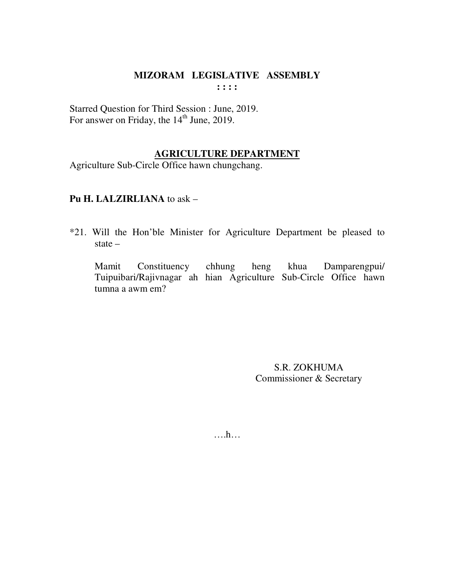Starred Question for Third Session : June, 2019. For answer on Friday, the 14<sup>th</sup> June, 2019.

# **AGRICULTURE DEPARTMENT**

Agriculture Sub-Circle Office hawn chungchang.

#### Pu H. LALZIRLIANA to ask -

\*21. Will the Hon'ble Minister for Agriculture Department be pleased to state  $-$ 

heng khua Mamit Constituency chhung Damparengpui/ Tuipuibari/Rajivnagar ah hian Agriculture Sub-Circle Office hawn tumna a awm em?

> S.R. ZOKHUMA Commissioner & Secretary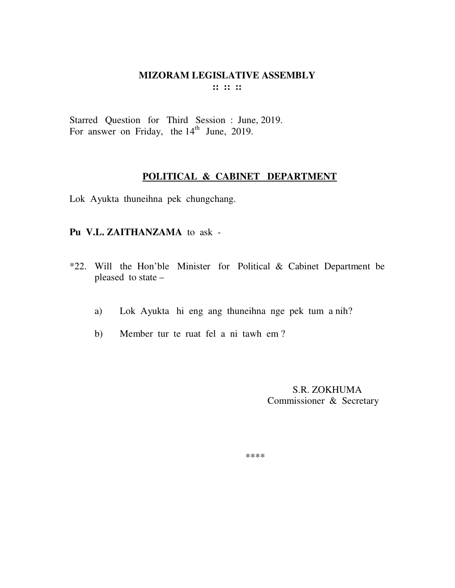#### **MIZORAM LEGISLATIVE ASSEMBLY :: :: ::**

Starred Question for Third Session : June, 2019. For answer on Friday, the 14<sup>th</sup> June, 2019.

#### **POLITICAL & CABINET DEPARTMENT**

Lok Ayukta thuneihna pek chungchang.

#### **Pu V.L. ZAITHANZAMA** to ask -

- \*22. Will the Hon'ble Minister for Political & Cabinet Department be pleased to state –
	- a) Lok Ayukta hi eng ang thuneihna nge pek tum a nih?
	- b) Member tur te ruat fel a ni tawh em ?

 S.R. ZOKHUMA Commissioner & Secretary

\*\*\*\*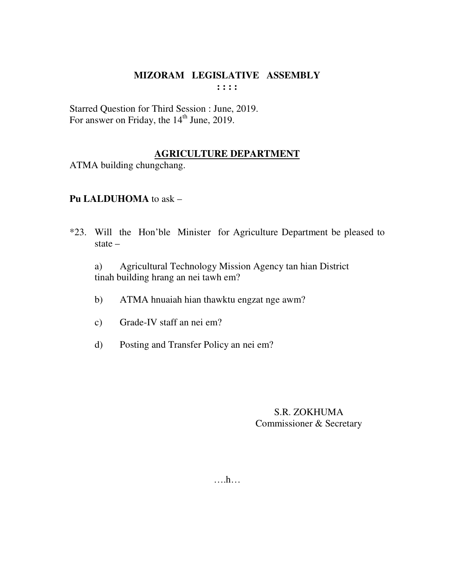#### **MIZORAM LEGISLATIVE ASSEMBLY : : : :**

Starred Question for Third Session : June, 2019. For answer on Friday, the  $14<sup>th</sup>$  June, 2019.

# **AGRICULTURE DEPARTMENT**

ATMA building chungchang.

# **Pu LALDUHOMA** to ask –

\*23. Will the Hon'ble Minister for Agriculture Department be pleased to state –

 a) Agricultural Technology Mission Agency tan hian District tinah building hrang an nei tawh em?

- b) ATMA hnuaiah hian thawktu engzat nge awm?
- c) Grade-IV staff an nei em?
- d) Posting and Transfer Policy an nei em?

# S.R. ZOKHUMA Commissioner & Secretary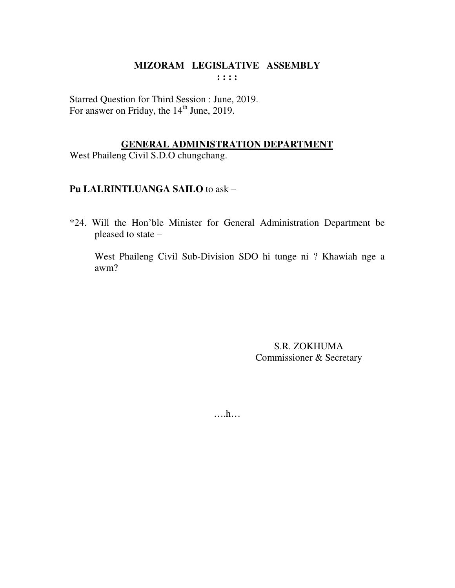#### MIZORAM LEGISLATIVE ASSEMBLY  $: : : :$

Starred Question for Third Session : June, 2019. For answer on Friday, the 14<sup>th</sup> June, 2019.

### **GENERAL ADMINISTRATION DEPARTMENT**

West Phaileng Civil S.D.O chungchang.

# Pu LALRINTLUANGA SAILO to ask -

\*24. Will the Hon'ble Minister for General Administration Department be pleased to state -

West Phaileng Civil Sub-Division SDO hi tunge ni ? Khawiah nge a awm?

> S.R. ZOKHUMA Commissioner & Secretary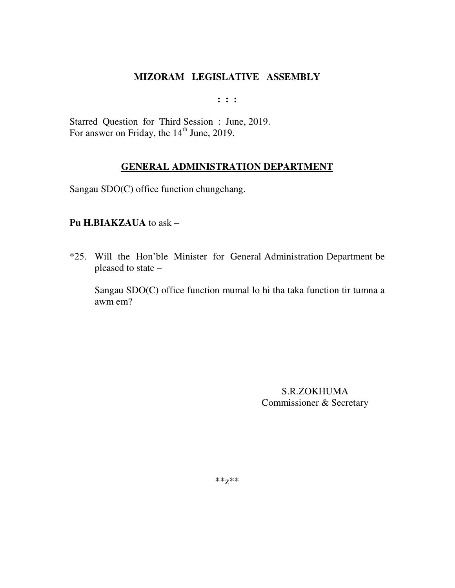**: : :** 

Starred Question for Third Session : June, 2019. For answer on Friday, the  $14<sup>th</sup>$  June, 2019.

# **GENERAL ADMINISTRATION DEPARTMENT**

Sangau SDO(C) office function chungchang.

#### **Pu H.BIAKZAUA** to ask –

\*25. Will the Hon'ble Minister for General Administration Department be pleased to state –

Sangau SDO(C) office function mumal lo hi tha taka function tir tumna a awm em?

> S.R.ZOKHUMA Commissioner & Secretary

\*\*z\*\*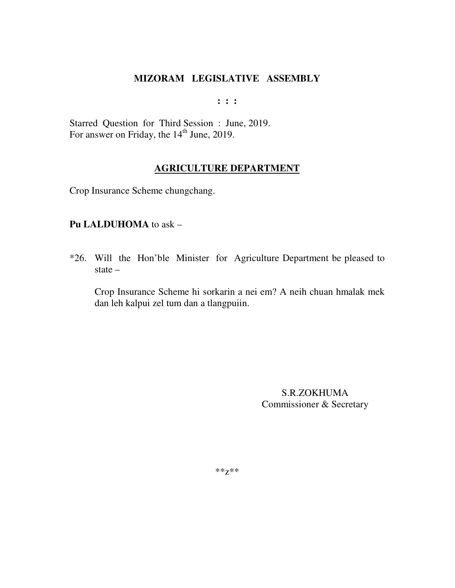**: : :** 

Starred Question for Third Session : June, 2019. For answer on Friday, the  $14<sup>th</sup>$  June, 2019.

#### **AGRICULTURE DEPARTMENT**

Crop Insurance Scheme chungchang.

#### **Pu LALDUHOMA** to ask –

\*26. Will the Hon'ble Minister for Agriculture Department be pleased to state –

 Crop Insurance Scheme hi sorkarin a nei em? A neih chuan hmalak mek dan leh kalpui zel tum dan a tlangpuiin.

> S.R.ZOKHUMA Commissioner & Secretary

\*\*z\*\*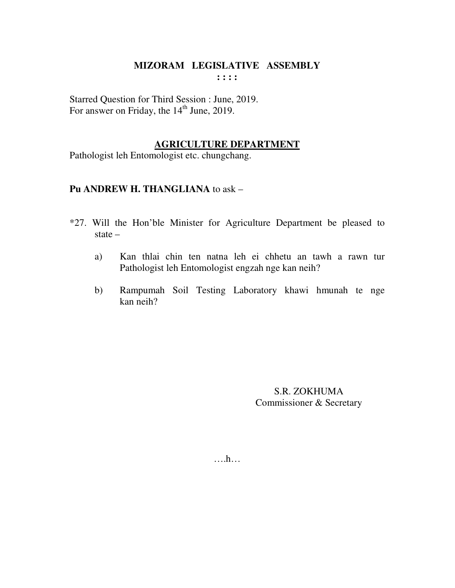**: : : :** 

Starred Question for Third Session : June, 2019. For answer on Friday, the 14<sup>th</sup> June, 2019.

#### **AGRICULTURE DEPARTMENT**

Pathologist leh Entomologist etc. chungchang.

# **Pu ANDREW H. THANGLIANA** to ask –

- \*27. Will the Hon'ble Minister for Agriculture Department be pleased to state –
	- a) Kan thlai chin ten natna leh ei chhetu an tawh a rawn tur Pathologist leh Entomologist engzah nge kan neih?
	- b) Rampumah Soil Testing Laboratory khawi hmunah te nge kan neih?

S.R. ZOKHUMA Commissioner & Secretary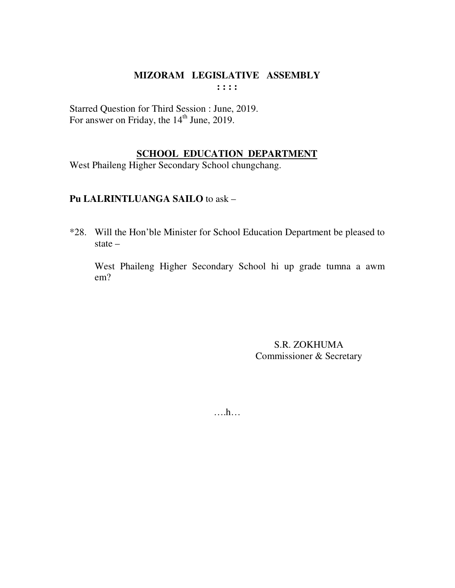#### MIZORAM LEGISLATIVE ASSEMBLY  $: : : :$

Starred Question for Third Session : June, 2019. For answer on Friday, the 14<sup>th</sup> June, 2019.

# **SCHOOL EDUCATION DEPARTMENT**

West Phaileng Higher Secondary School chungchang.

# Pu LALRINTLUANGA SAILO to ask -

\*28. Will the Hon'ble Minister for School Education Department be pleased to state  $-$ 

West Phaileng Higher Secondary School hi up grade tumna a awm  $em?$ 

> **S.R. ZOKHUMA** Commissioner & Secretary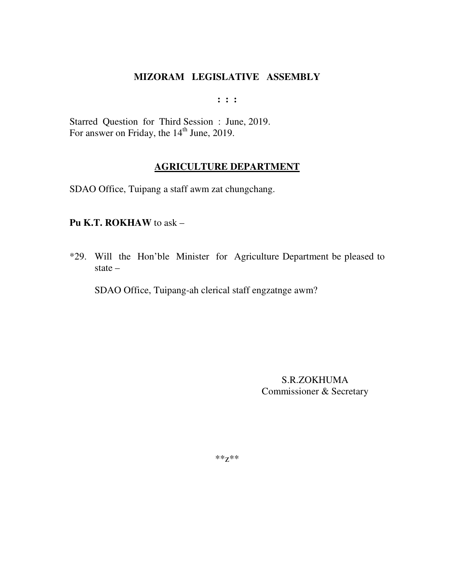$: : :$ 

Starred Question for Third Session: June, 2019. For answer on Friday, the 14<sup>th</sup> June, 2019.

#### **AGRICULTURE DEPARTMENT**

SDAO Office, Tuipang a staff awm zat chungchang.

#### Pu K.T. ROKHAW to ask -

\*29. Will the Hon'ble Minister for Agriculture Department be pleased to state  $-$ 

SDAO Office, Tuipang-ah clerical staff engzatnge awm?

**S.R.ZOKHUMA** Commissioner & Secretary

 $***Z***$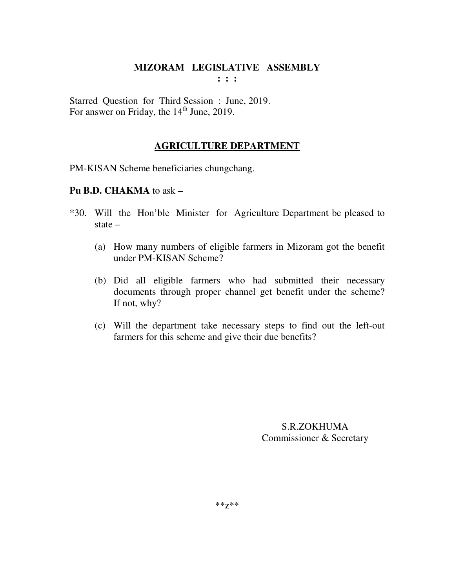**: : :** 

Starred Question for Third Session : June, 2019. For answer on Friday, the  $14<sup>th</sup>$  June, 2019.

# **AGRICULTURE DEPARTMENT**

PM-KISAN Scheme beneficiaries chungchang.

# **Pu B.D. CHAKMA** to ask –

- \*30. Will the Hon'ble Minister for Agriculture Department be pleased to state –
	- (a) How many numbers of eligible farmers in Mizoram got the benefit under PM-KISAN Scheme?
	- (b) Did all eligible farmers who had submitted their necessary documents through proper channel get benefit under the scheme? If not, why?
	- (c) Will the department take necessary steps to find out the left-out farmers for this scheme and give their due benefits?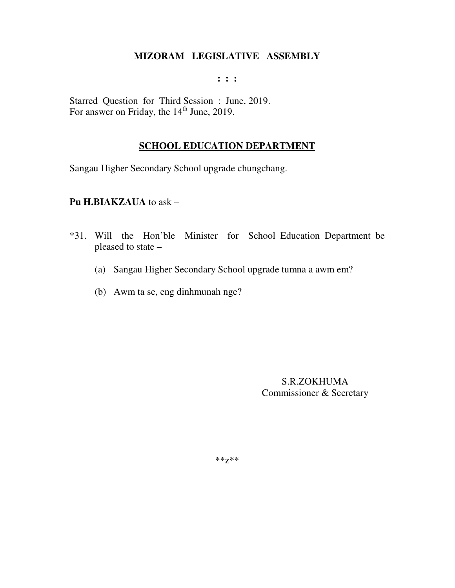**: : :** 

Starred Question for Third Session : June, 2019. For answer on Friday, the  $14<sup>th</sup>$  June, 2019.

# **SCHOOL EDUCATION DEPARTMENT**

Sangau Higher Secondary School upgrade chungchang.

**Pu H.BIAKZAUA** to ask –

- \*31. Will the Hon'ble Minister for School Education Department be pleased to state –
	- (a) Sangau Higher Secondary School upgrade tumna a awm em?
	- (b) Awm ta se, eng dinhmunah nge?

S.R.ZOKHUMA Commissioner & Secretary

\*\*z\*\*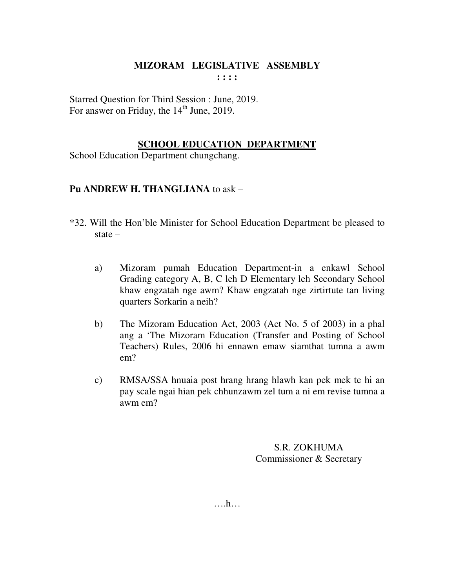#### **MIZORAM LEGISLATIVE ASSEMBLY : : : :**

Starred Question for Third Session : June, 2019. For answer on Friday, the 14<sup>th</sup> June, 2019.

# **SCHOOL EDUCATION DEPARTMENT**

School Education Department chungchang.

# **Pu ANDREW H. THANGLIANA** to ask –

- \*32. Will the Hon'ble Minister for School Education Department be pleased to state –
	- a) Mizoram pumah Education Department-in a enkawl School Grading category A, B, C leh D Elementary leh Secondary School khaw engzatah nge awm? Khaw engzatah nge zirtirtute tan living quarters Sorkarin a neih?
	- b) The Mizoram Education Act, 2003 (Act No. 5 of 2003) in a phal ang a 'The Mizoram Education (Transfer and Posting of School Teachers) Rules, 2006 hi ennawn emaw siamthat tumna a awm em?
	- c) RMSA/SSA hnuaia post hrang hrang hlawh kan pek mek te hi an pay scale ngai hian pek chhunzawm zel tum a ni em revise tumna a awm em?

S.R. ZOKHUMA Commissioner & Secretary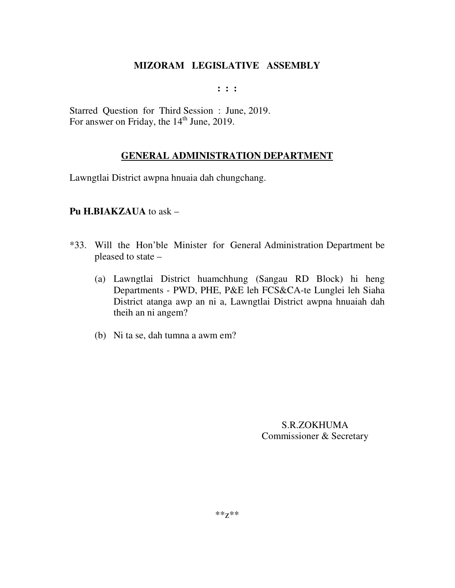**: : :** 

Starred Question for Third Session : June, 2019. For answer on Friday, the  $14<sup>th</sup>$  June, 2019.

# **GENERAL ADMINISTRATION DEPARTMENT**

Lawngtlai District awpna hnuaia dah chungchang.

# **Pu H.BIAKZAUA** to ask –

- \*33. Will the Hon'ble Minister for General Administration Department be pleased to state –
	- (a) Lawngtlai District huamchhung (Sangau RD Block) hi heng Departments - PWD, PHE, P&E leh FCS&CA-te Lunglei leh Siaha District atanga awp an ni a, Lawngtlai District awpna hnuaiah dah theih an ni angem?
	- (b) Ni ta se, dah tumna a awm em?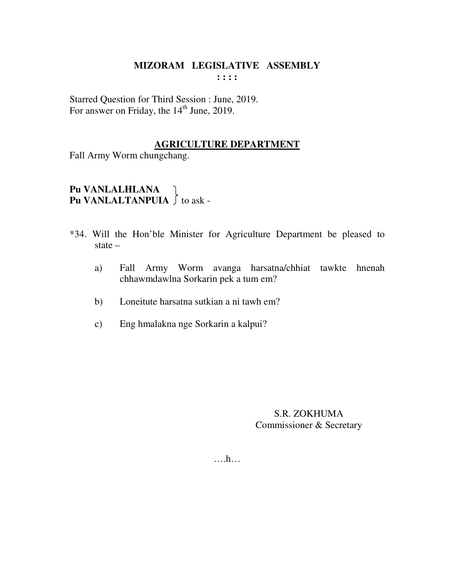#### **MIZORAM LEGISLATIVE ASSEMBLY : : : :**

Starred Question for Third Session : June, 2019. For answer on Friday, the 14<sup>th</sup> June, 2019.

### **AGRICULTURE DEPARTMENT**

Fall Army Worm chungchang.

# **Pu VANLALHLANA Pu VANLALHLANA**<br>**Pu VANLALTANPUIA**  $\int$  to ask -

- \*34. Will the Hon'ble Minister for Agriculture Department be pleased to state –
	- a) Fall Army Worm avanga harsatna/chhiat tawkte hnenah chhawmdawlna Sorkarin pek a tum em?
	- b) Loneitute harsatna sutkian a ni tawh em?
	- c) Eng hmalakna nge Sorkarin a kalpui?

S.R. ZOKHUMA Commissioner & Secretary